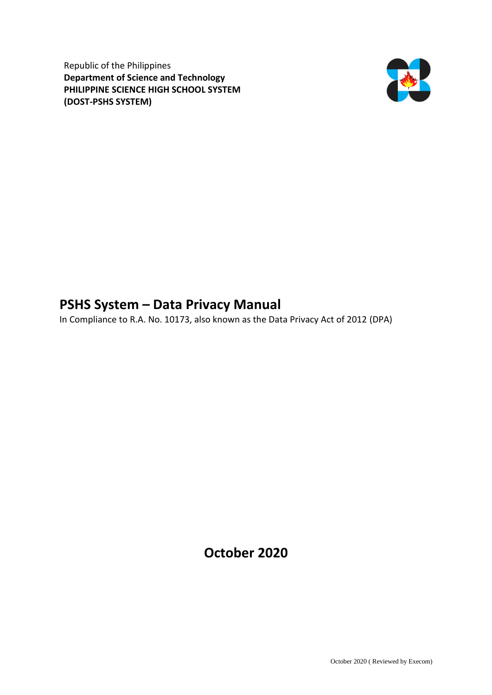Republic of the Philippines **Department of Science and Technology PHILIPPINE SCIENCE HIGH SCHOOL SYSTEM (DOST-PSHS SYSTEM)**



## **PSHS System – Data Privacy Manual**

In Compliance to R.A. No. 10173, also known as the Data Privacy Act of 2012 (DPA)

**October 2020**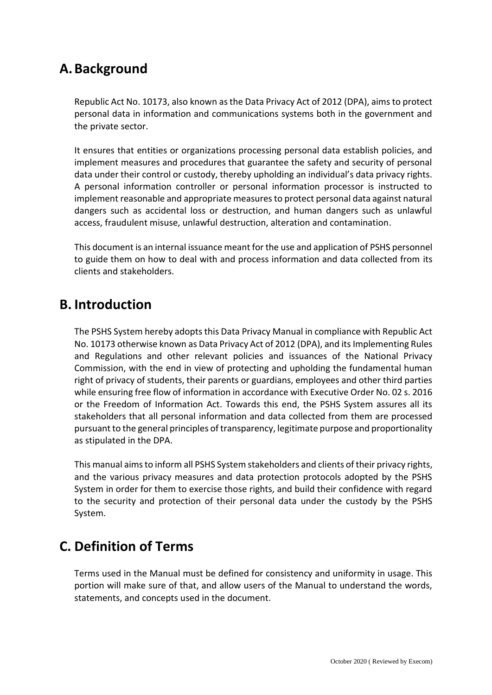# **A.Background**

Republic Act No. 10173, also known as the Data Privacy Act of 2012 (DPA), aims to protect personal data in information and communications systems both in the government and the private sector.

It ensures that entities or organizations processing personal data establish policies, and implement measures and procedures that guarantee the safety and security of personal data under their control or custody, thereby upholding an individual's data privacy rights. A personal information controller or personal information processor is instructed to implement reasonable and appropriate measures to protect personal data against natural dangers such as accidental loss or destruction, and human dangers such as unlawful access, fraudulent misuse, unlawful destruction, alteration and contamination.

This document is an internal issuance meant for the use and application of PSHS personnel to guide them on how to deal with and process information and data collected from its clients and stakeholders.

## **B. Introduction**

The PSHS System hereby adopts this Data Privacy Manual in compliance with Republic Act No. 10173 otherwise known as Data Privacy Act of 2012 (DPA), and its Implementing Rules and Regulations and other relevant policies and issuances of the National Privacy Commission, with the end in view of protecting and upholding the fundamental human right of privacy of students, their parents or guardians, employees and other third parties while ensuring free flow of information in accordance with Executive Order No. 02 s. 2016 or the Freedom of Information Act. Towards this end, the PSHS System assures all its stakeholders that all personal information and data collected from them are processed pursuant to the general principles of transparency, legitimate purpose and proportionality as stipulated in the DPA.

This manual aims to inform all PSHS System stakeholders and clients of their privacy rights, and the various privacy measures and data protection protocols adopted by the PSHS System in order for them to exercise those rights, and build their confidence with regard to the security and protection of their personal data under the custody by the PSHS System.

# **C. Definition of Terms**

Terms used in the Manual must be defined for consistency and uniformity in usage. This portion will make sure of that, and allow users of the Manual to understand the words, statements, and concepts used in the document.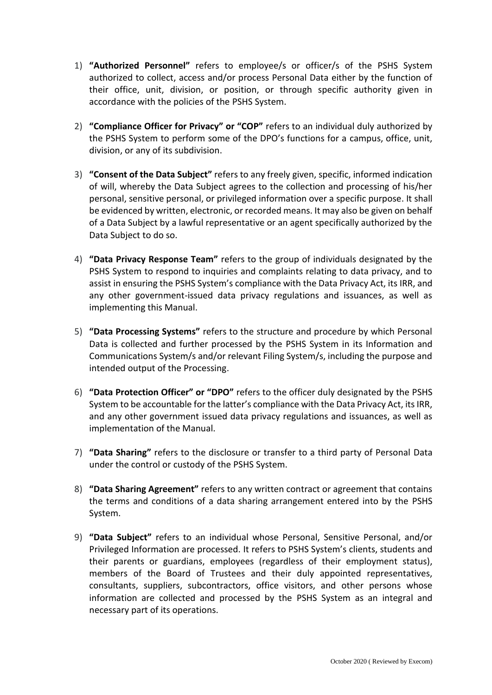- 1) **"Authorized Personnel"** refers to employee/s or officer/s of the PSHS System authorized to collect, access and/or process Personal Data either by the function of their office, unit, division, or position, or through specific authority given in accordance with the policies of the PSHS System.
- 2) **"Compliance Officer for Privacy" or "COP"** refers to an individual duly authorized by the PSHS System to perform some of the DPO's functions for a campus, office, unit, division, or any of its subdivision.
- 3) **"Consent of the Data Subject"** refers to any freely given, specific, informed indication of will, whereby the Data Subject agrees to the collection and processing of his/her personal, sensitive personal, or privileged information over a specific purpose. It shall be evidenced by written, electronic, or recorded means. It may also be given on behalf of a Data Subject by a lawful representative or an agent specifically authorized by the Data Subject to do so.
- 4) **"Data Privacy Response Team"** refers to the group of individuals designated by the PSHS System to respond to inquiries and complaints relating to data privacy, and to assist in ensuring the PSHS System's compliance with the Data Privacy Act, its IRR, and any other government-issued data privacy regulations and issuances, as well as implementing this Manual.
- 5) **"Data Processing Systems"** refers to the structure and procedure by which Personal Data is collected and further processed by the PSHS System in its Information and Communications System/s and/or relevant Filing System/s, including the purpose and intended output of the Processing.
- 6) **"Data Protection Officer" or "DPO"** refers to the officer duly designated by the PSHS System to be accountable for the latter's compliance with the Data Privacy Act, its IRR, and any other government issued data privacy regulations and issuances, as well as implementation of the Manual.
- 7) **"Data Sharing"** refers to the disclosure or transfer to a third party of Personal Data under the control or custody of the PSHS System.
- 8) **"Data Sharing Agreement"** refers to any written contract or agreement that contains the terms and conditions of a data sharing arrangement entered into by the PSHS System.
- 9) **"Data Subject"** refers to an individual whose Personal, Sensitive Personal, and/or Privileged Information are processed. It refers to PSHS System's clients, students and their parents or guardians, employees (regardless of their employment status), members of the Board of Trustees and their duly appointed representatives, consultants, suppliers, subcontractors, office visitors, and other persons whose information are collected and processed by the PSHS System as an integral and necessary part of its operations.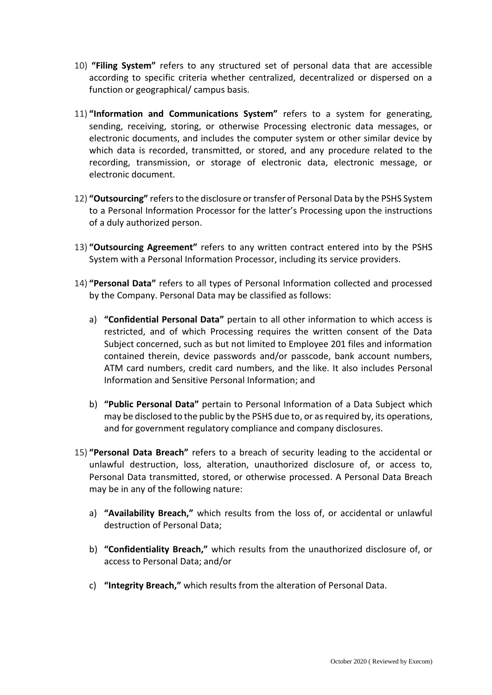- 10) **"Filing System"** refers to any structured set of personal data that are accessible according to specific criteria whether centralized, decentralized or dispersed on a function or geographical/ campus basis.
- 11) **"Information and Communications System"** refers to a system for generating, sending, receiving, storing, or otherwise Processing electronic data messages, or electronic documents, and includes the computer system or other similar device by which data is recorded, transmitted, or stored, and any procedure related to the recording, transmission, or storage of electronic data, electronic message, or electronic document.
- 12) **"Outsourcing"** refers to the disclosure or transfer of Personal Data by the PSHS System to a Personal Information Processor for the latter's Processing upon the instructions of a duly authorized person.
- 13) **"Outsourcing Agreement"** refers to any written contract entered into by the PSHS System with a Personal Information Processor, including its service providers.
- 14) **"Personal Data"** refers to all types of Personal Information collected and processed by the Company. Personal Data may be classified as follows:
	- a) **"Confidential Personal Data"** pertain to all other information to which access is restricted, and of which Processing requires the written consent of the Data Subject concerned, such as but not limited to Employee 201 files and information contained therein, device passwords and/or passcode, bank account numbers, ATM card numbers, credit card numbers, and the like. It also includes Personal Information and Sensitive Personal Information; and
	- b) **"Public Personal Data"** pertain to Personal Information of a Data Subject which may be disclosed to the public by the PSHS due to, or as required by, its operations, and for government regulatory compliance and company disclosures.
- 15) **"Personal Data Breach"** refers to a breach of security leading to the accidental or unlawful destruction, loss, alteration, unauthorized disclosure of, or access to, Personal Data transmitted, stored, or otherwise processed. A Personal Data Breach may be in any of the following nature:
	- a) **"Availability Breach,"** which results from the loss of, or accidental or unlawful destruction of Personal Data;
	- b) **"Confidentiality Breach,"** which results from the unauthorized disclosure of, or access to Personal Data; and/or
	- c) **"Integrity Breach,"** which results from the alteration of Personal Data.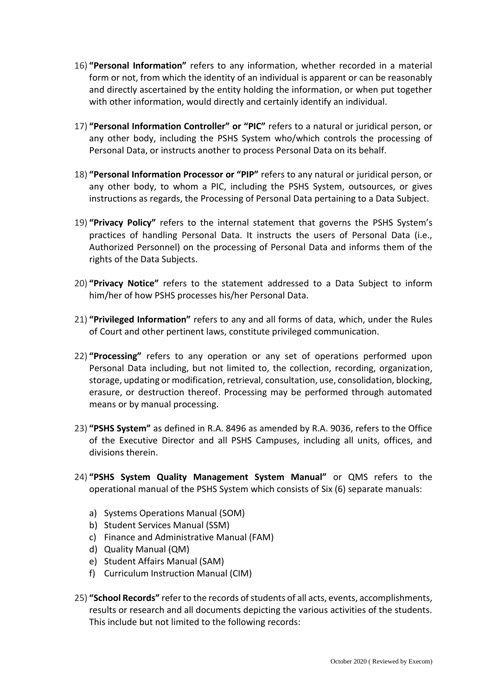- 16) **"Personal Information"** refers to any information, whether recorded in a material form or not, from which the identity of an individual is apparent or can be reasonably and directly ascertained by the entity holding the information, or when put together with other information, would directly and certainly identify an individual.
- 17) **"Personal Information Controller" or "PIC"** refers to a natural or juridical person, or any other body, including the PSHS System who/which controls the processing of Personal Data, or instructs another to process Personal Data on its behalf.
- 18) **"Personal Information Processor or "PIP"** refers to any natural or juridical person, or any other body, to whom a PIC, including the PSHS System, outsources, or gives instructions as regards, the Processing of Personal Data pertaining to a Data Subject.
- 19) **"Privacy Policy"** refers to the internal statement that governs the PSHS System's practices of handling Personal Data. It instructs the users of Personal Data (i.e., Authorized Personnel) on the processing of Personal Data and informs them of the rights of the Data Subjects.
- 20) **"Privacy Notice"** refers to the statement addressed to a Data Subject to inform him/her of how PSHS processes his/her Personal Data.
- 21) **"Privileged Information"** refers to any and all forms of data, which, under the Rules of Court and other pertinent laws, constitute privileged communication.
- 22) **"Processing"** refers to any operation or any set of operations performed upon Personal Data including, but not limited to, the collection, recording, organization, storage, updating or modification, retrieval, consultation, use, consolidation, blocking, erasure, or destruction thereof. Processing may be performed through automated means or by manual processing.
- 23) **"PSHS System"** as defined in R.A. 8496 as amended by R.A. 9036, refers to the Office of the Executive Director and all PSHS Campuses, including all units, offices, and divisions therein.
- 24) **"PSHS System Quality Management System Manual"** or QMS refers to the operational manual of the PSHS System which consists of Six (6) separate manuals:
	- a) Systems Operations Manual (SOM)
	- b) Student Services Manual (SSM)
	- c) Finance and Administrative Manual (FAM)
	- d) Quality Manual (QM)
	- e) Student Affairs Manual (SAM)
	- f) Curriculum Instruction Manual (CIM)
- 25) **"School Records"** refer to the records of students of all acts, events, accomplishments, results or research and all documents depicting the various activities of the students. This include but not limited to the following records: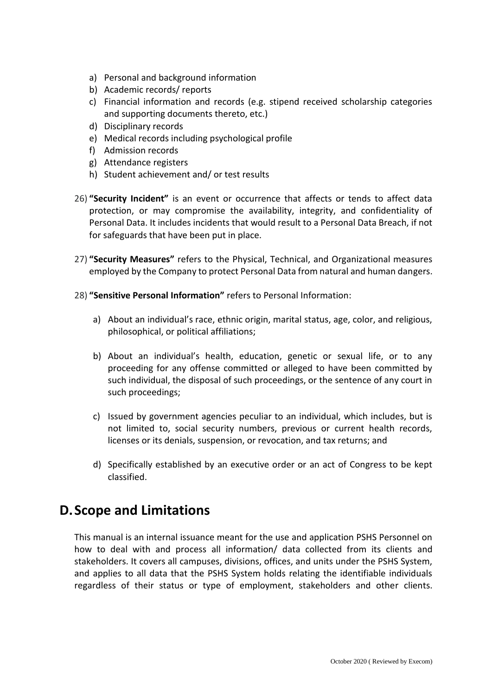- a) Personal and background information
- b) Academic records/ reports
- c) Financial information and records (e.g. stipend received scholarship categories and supporting documents thereto, etc.)
- d) Disciplinary records
- e) Medical records including psychological profile
- f) Admission records
- g) Attendance registers
- h) Student achievement and/ or test results
- 26) **"Security Incident"** is an event or occurrence that affects or tends to affect data protection, or may compromise the availability, integrity, and confidentiality of Personal Data. It includes incidents that would result to a Personal Data Breach, if not for safeguards that have been put in place.
- 27) **"Security Measures"** refers to the Physical, Technical, and Organizational measures employed by the Company to protect Personal Data from natural and human dangers.
- 28) **"Sensitive Personal Information"** refers to Personal Information:
	- a) About an individual's race, ethnic origin, marital status, age, color, and religious, philosophical, or political affiliations;
	- b) About an individual's health, education, genetic or sexual life, or to any proceeding for any offense committed or alleged to have been committed by such individual, the disposal of such proceedings, or the sentence of any court in such proceedings;
	- c) Issued by government agencies peculiar to an individual, which includes, but is not limited to, social security numbers, previous or current health records, licenses or its denials, suspension, or revocation, and tax returns; and
	- d) Specifically established by an executive order or an act of Congress to be kept classified.

## **D.Scope and Limitations**

This manual is an internal issuance meant for the use and application PSHS Personnel on how to deal with and process all information/ data collected from its clients and stakeholders. It covers all campuses, divisions, offices, and units under the PSHS System, and applies to all data that the PSHS System holds relating the identifiable individuals regardless of their status or type of employment, stakeholders and other clients.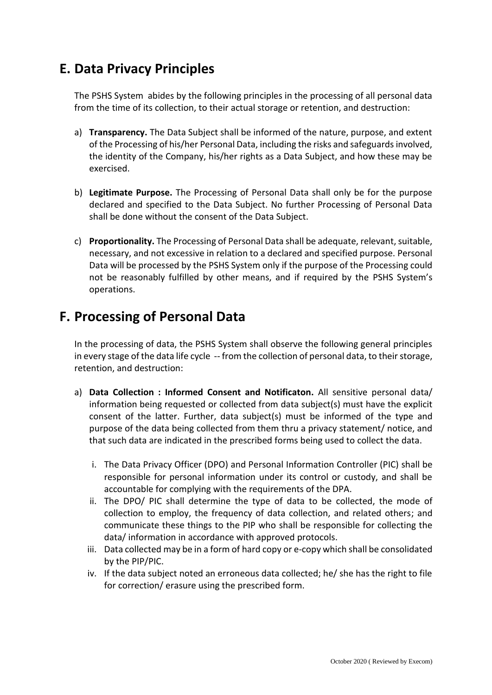# **E. Data Privacy Principles**

The PSHS System abides by the following principles in the processing of all personal data from the time of its collection, to their actual storage or retention, and destruction:

- a) **Transparency.** The Data Subject shall be informed of the nature, purpose, and extent of the Processing of his/her Personal Data, including the risks and safeguards involved, the identity of the Company, his/her rights as a Data Subject, and how these may be exercised.
- b) **Legitimate Purpose.** The Processing of Personal Data shall only be for the purpose declared and specified to the Data Subject. No further Processing of Personal Data shall be done without the consent of the Data Subject.
- c) **Proportionality.** The Processing of Personal Data shall be adequate, relevant, suitable, necessary, and not excessive in relation to a declared and specified purpose. Personal Data will be processed by the PSHS System only if the purpose of the Processing could not be reasonably fulfilled by other means, and if required by the PSHS System's operations.

## **F. Processing of Personal Data**

In the processing of data, the PSHS System shall observe the following general principles in every stage of the data life cycle -- from the collection of personal data, to their storage, retention, and destruction:

- a) **Data Collection : Informed Consent and Notificaton.** All sensitive personal data/ information being requested or collected from data subject(s) must have the explicit consent of the latter. Further, data subject(s) must be informed of the type and purpose of the data being collected from them thru a privacy statement/ notice, and that such data are indicated in the prescribed forms being used to collect the data.
	- i. The Data Privacy Officer (DPO) and Personal Information Controller (PIC) shall be responsible for personal information under its control or custody, and shall be accountable for complying with the requirements of the DPA.
	- ii. The DPO/ PIC shall determine the type of data to be collected, the mode of collection to employ, the frequency of data collection, and related others; and communicate these things to the PIP who shall be responsible for collecting the data/ information in accordance with approved protocols.
	- iii. Data collected may be in a form of hard copy or e-copy which shall be consolidated by the PIP/PIC.
	- iv. If the data subject noted an erroneous data collected; he/ she has the right to file for correction/ erasure using the prescribed form.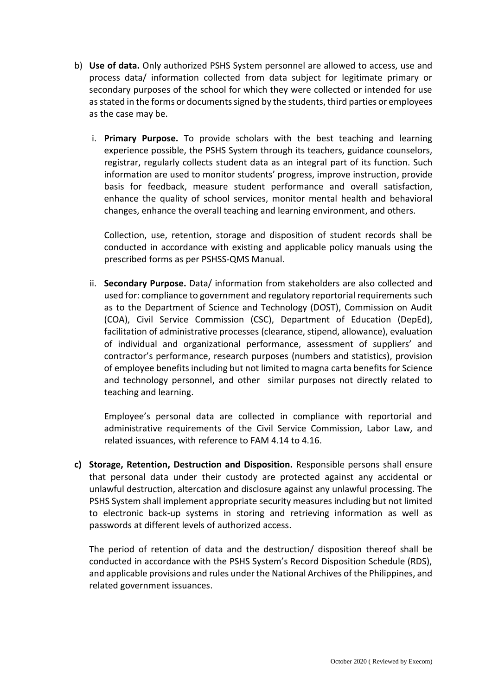- b) **Use of data.** Only authorized PSHS System personnel are allowed to access, use and process data/ information collected from data subject for legitimate primary or secondary purposes of the school for which they were collected or intended for use as stated in the forms or documents signed by the students, third parties or employees as the case may be.
	- i. **Primary Purpose.** To provide scholars with the best teaching and learning experience possible, the PSHS System through its teachers, guidance counselors, registrar, regularly collects student data as an integral part of its function. Such information are used to monitor students' progress, improve instruction, provide basis for feedback, measure student performance and overall satisfaction, enhance the quality of school services, monitor mental health and behavioral changes, enhance the overall teaching and learning environment, and others.

Collection, use, retention, storage and disposition of student records shall be conducted in accordance with existing and applicable policy manuals using the prescribed forms as per PSHSS-QMS Manual.

ii. **Secondary Purpose.** Data/ information from stakeholders are also collected and used for: compliance to government and regulatory reportorial requirements such as to the Department of Science and Technology (DOST), Commission on Audit (COA), Civil Service Commission (CSC), Department of Education (DepEd), facilitation of administrative processes (clearance, stipend, allowance), evaluation of individual and organizational performance, assessment of suppliers' and contractor's performance, research purposes (numbers and statistics), provision of employee benefits including but not limited to magna carta benefits for Science and technology personnel, and other similar purposes not directly related to teaching and learning.

Employee's personal data are collected in compliance with reportorial and administrative requirements of the Civil Service Commission, Labor Law, and related issuances, with reference to FAM 4.14 to 4.16.

**c) Storage, Retention, Destruction and Disposition.** Responsible persons shall ensure that personal data under their custody are protected against any accidental or unlawful destruction, altercation and disclosure against any unlawful processing. The PSHS System shall implement appropriate security measures including but not limited to electronic back-up systems in storing and retrieving information as well as passwords at different levels of authorized access.

The period of retention of data and the destruction/ disposition thereof shall be conducted in accordance with the PSHS System's Record Disposition Schedule (RDS), and applicable provisions and rules under the National Archives of the Philippines, and related government issuances.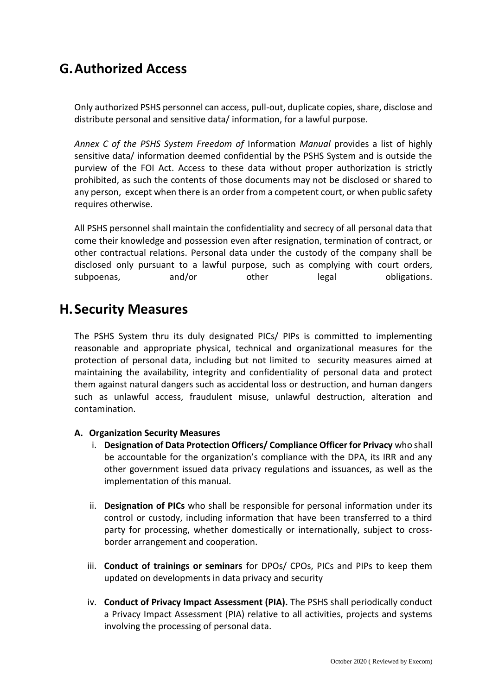# **G.Authorized Access**

Only authorized PSHS personnel can access, pull-out, duplicate copies, share, disclose and distribute personal and sensitive data/ information, for a lawful purpose.

*Annex C of the PSHS System Freedom of* Information *Manual* provides a list of highly sensitive data/ information deemed confidential by the PSHS System and is outside the purview of the FOI Act. Access to these data without proper authorization is strictly prohibited, as such the contents of those documents may not be disclosed or shared to any person, except when there is an order from a competent court, or when public safety requires otherwise.

All PSHS personnel shall maintain the confidentiality and secrecy of all personal data that come their knowledge and possession even after resignation, termination of contract, or other contractual relations. Personal data under the custody of the company shall be disclosed only pursuant to a lawful purpose, such as complying with court orders, subpoenas, and/or other legal obligations.

## **H.Security Measures**

The PSHS System thru its duly designated PICs/ PIPs is committed to implementing reasonable and appropriate physical, technical and organizational measures for the protection of personal data, including but not limited to security measures aimed at maintaining the availability, integrity and confidentiality of personal data and protect them against natural dangers such as accidental loss or destruction, and human dangers such as unlawful access, fraudulent misuse, unlawful destruction, alteration and contamination.

### **A. Organization Security Measures**

- i. **Designation of Data Protection Officers/ Compliance Officer for Privacy** who shall be accountable for the organization's compliance with the DPA, its IRR and any other government issued data privacy regulations and issuances, as well as the implementation of this manual.
- ii. **Designation of PICs** who shall be responsible for personal information under its control or custody, including information that have been transferred to a third party for processing, whether domestically or internationally, subject to crossborder arrangement and cooperation.
- iii. **Conduct of trainings or seminars** for DPOs/ CPOs, PICs and PIPs to keep them updated on developments in data privacy and security
- iv. **Conduct of Privacy Impact Assessment (PIA).** The PSHS shall periodically conduct a Privacy Impact Assessment (PIA) relative to all activities, projects and systems involving the processing of personal data.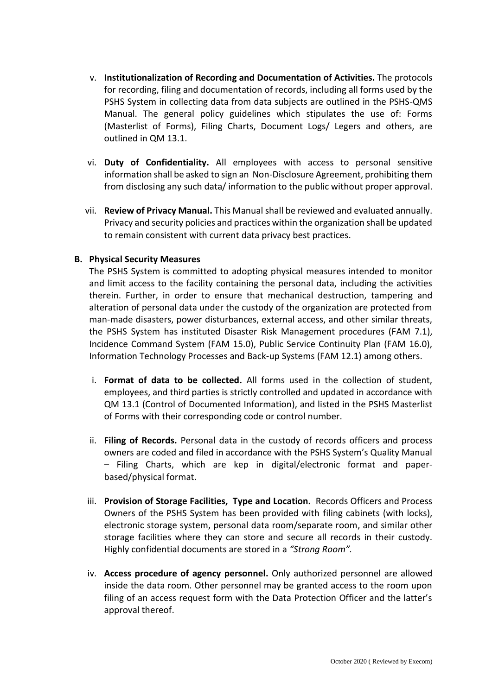- v. **Institutionalization of Recording and Documentation of Activities.** The protocols for recording, filing and documentation of records, including all forms used by the PSHS System in collecting data from data subjects are outlined in the PSHS-QMS Manual. The general policy guidelines which stipulates the use of: Forms (Masterlist of Forms), Filing Charts, Document Logs/ Legers and others, are outlined in QM 13.1.
- vi. **Duty of Confidentiality.** All employees with access to personal sensitive information shall be asked to sign an Non-Disclosure Agreement, prohibiting them from disclosing any such data/ information to the public without proper approval.
- vii. **Review of Privacy Manual.** This Manual shall be reviewed and evaluated annually. Privacy and security policies and practices within the organization shall be updated to remain consistent with current data privacy best practices.

### **B. Physical Security Measures**

The PSHS System is committed to adopting physical measures intended to monitor and limit access to the facility containing the personal data, including the activities therein. Further, in order to ensure that mechanical destruction, tampering and alteration of personal data under the custody of the organization are protected from man-made disasters, power disturbances, external access, and other similar threats, the PSHS System has instituted Disaster Risk Management procedures (FAM 7.1), Incidence Command System (FAM 15.0), Public Service Continuity Plan (FAM 16.0), Information Technology Processes and Back-up Systems (FAM 12.1) among others.

- i. **Format of data to be collected.** All forms used in the collection of student, employees, and third parties is strictly controlled and updated in accordance with QM 13.1 (Control of Documented Information), and listed in the PSHS Masterlist of Forms with their corresponding code or control number.
- ii. **Filing of Records.** Personal data in the custody of records officers and process owners are coded and filed in accordance with the PSHS System's Quality Manual – Filing Charts, which are kep in digital/electronic format and paperbased/physical format.
- iii. **Provision of Storage Facilities, Type and Location.** Records Officers and Process Owners of the PSHS System has been provided with filing cabinets (with locks), electronic storage system, personal data room/separate room, and similar other storage facilities where they can store and secure all records in their custody. Highly confidential documents are stored in a *"Strong Room".*
- iv. **Access procedure of agency personnel.** Only authorized personnel are allowed inside the data room. Other personnel may be granted access to the room upon filing of an access request form with the Data Protection Officer and the latter's approval thereof.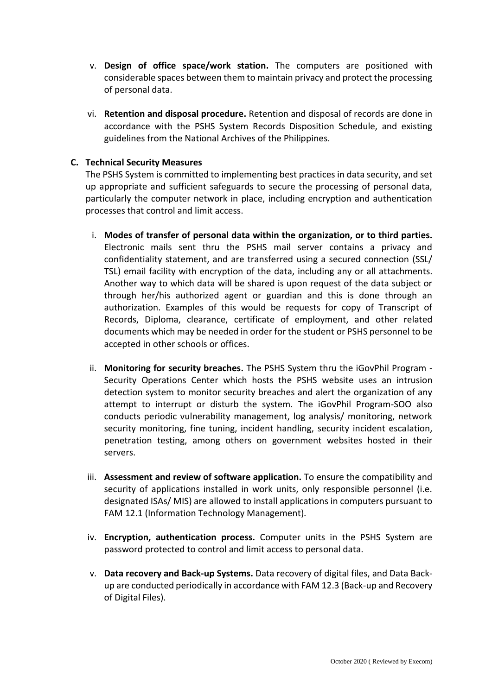- v. **Design of office space/work station.** The computers are positioned with considerable spaces between them to maintain privacy and protect the processing of personal data.
- vi. **Retention and disposal procedure.** Retention and disposal of records are done in accordance with the PSHS System Records Disposition Schedule, and existing guidelines from the National Archives of the Philippines.

### **C. Technical Security Measures**

The PSHS System is committed to implementing best practices in data security, and set up appropriate and sufficient safeguards to secure the processing of personal data, particularly the computer network in place, including encryption and authentication processes that control and limit access.

- i. **Modes of transfer of personal data within the organization, or to third parties.**  Electronic mails sent thru the PSHS mail server contains a privacy and confidentiality statement, and are transferred using a secured connection (SSL/ TSL) email facility with encryption of the data, including any or all attachments. Another way to which data will be shared is upon request of the data subject or through her/his authorized agent or guardian and this is done through an authorization. Examples of this would be requests for copy of Transcript of Records, Diploma, clearance, certificate of employment, and other related documents which may be needed in order for the student or PSHS personnel to be accepted in other schools or offices.
- ii. **Monitoring for security breaches.** The PSHS System thru the iGovPhil Program Security Operations Center which hosts the PSHS website uses an intrusion detection system to monitor security breaches and alert the organization of any attempt to interrupt or disturb the system. The iGovPhil Program-SOO also conducts periodic vulnerability management, log analysis/ monitoring, network security monitoring, fine tuning, incident handling, security incident escalation, penetration testing, among others on government websites hosted in their servers.
- iii. **Assessment and review of software application.** To ensure the compatibility and security of applications installed in work units, only responsible personnel (i.e. designated ISAs/ MIS) are allowed to install applications in computers pursuant to FAM 12.1 (Information Technology Management).
- iv. **Encryption, authentication process.** Computer units in the PSHS System are password protected to control and limit access to personal data.
- v. **Data recovery and Back-up Systems.** Data recovery of digital files, and Data Backup are conducted periodically in accordance with FAM 12.3 (Back-up and Recovery of Digital Files).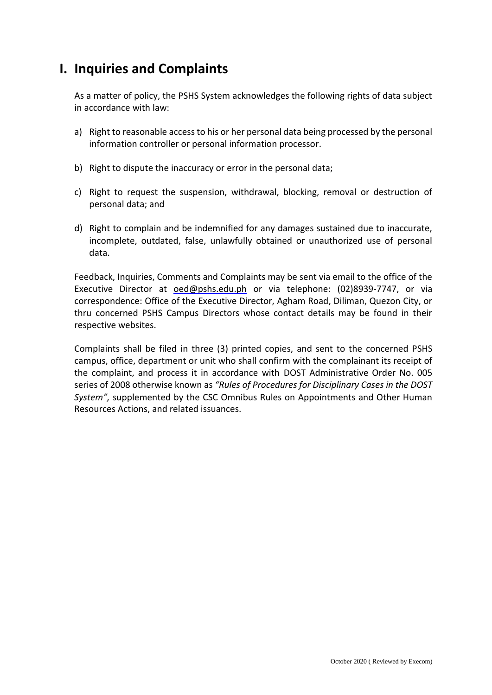# **I. Inquiries and Complaints**

As a matter of policy, the PSHS System acknowledges the following rights of data subject in accordance with law:

- a) Right to reasonable access to his or her personal data being processed by the personal information controller or personal information processor.
- b) Right to dispute the inaccuracy or error in the personal data;
- c) Right to request the suspension, withdrawal, blocking, removal or destruction of personal data; and
- d) Right to complain and be indemnified for any damages sustained due to inaccurate, incomplete, outdated, false, unlawfully obtained or unauthorized use of personal data.

Feedback, Inquiries, Comments and Complaints may be sent via email to the office of the Executive Director at [oed@pshs.edu.ph](mailto:oed@pshs.edu.ph) or via telephone: (02)8939-7747, or via correspondence: Office of the Executive Director, Agham Road, Diliman, Quezon City, or thru concerned PSHS Campus Directors whose contact details may be found in their respective websites.

Complaints shall be filed in three (3) printed copies, and sent to the concerned PSHS campus, office, department or unit who shall confirm with the complainant its receipt of the complaint, and process it in accordance with DOST Administrative Order No. 005 series of 2008 otherwise known as *"Rules of Procedures for Disciplinary Cases in the DOST System",* supplemented by the CSC Omnibus Rules on Appointments and Other Human Resources Actions, and related issuances.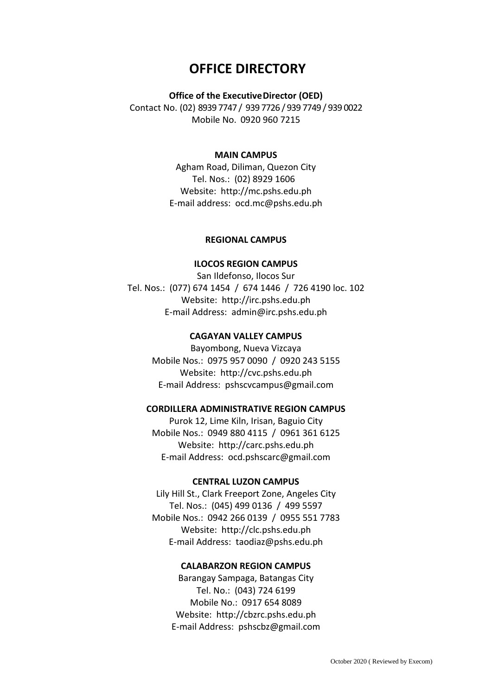## **OFFICE DIRECTORY**

#### **Office of the Executive Director (OED)**

Contact No. (02) 8939 7747 / 939 7726 / 939 7749 / 939 0022 Mobile No. 0920 960 7215

### **MAIN CAMPUS**

Agham Road, Diliman, Quezon City Tel. Nos.: (02) 8929 1606 Website: [http://mc.pshs.edu.ph](http://mc.pshs.edu.ph/) E-mail address: [ocd.mc@pshs.edu.ph](mailto:ocd.mc@pshs.edu.ph)

#### **REGIONAL CAMPUS**

### **ILOCOS REGION CAMPUS**

San Ildefonso, Ilocos Sur Tel. Nos.: (077) 674 1454 / 674 1446 / 726 4190 loc. 102 Website: [http://irc.pshs.edu.ph](http://irc.pshs.edu.ph/) E-mail Address: [admin@irc.pshs.edu.ph](mailto:admin@irc.pshs.edu.ph)

#### **CAGAYAN VALLEY CAMPUS**

Bayombong, Nueva Vizcaya Mobile Nos.: 0975 957 0090 / 0920 243 5155 Website: [http://cvc.pshs.edu.ph](http://cvc.pshs.edu.ph/) E-mail Address: [pshscvcampus@gmail.com](mailto:pshscvcampus@gmail.com)

#### **CORDILLERA ADMINISTRATIVE REGION CAMPUS**

Purok 12, Lime Kiln, Irisan, Baguio City Mobile Nos.: 0949 880 4115 / 0961 361 6125 Website: [http://carc.pshs.edu.ph](http://carc.pshs.edu.ph/) E-mail Address: [ocd.pshscarc@gmail.com](mailto:ocd.pshscarc@gmail.com)

#### **CENTRAL LUZON CAMPUS**

Lily Hill St., Clark Freeport Zone, Angeles City Tel. Nos.: (045) 499 0136 / 499 5597 Mobile Nos.: 0942 266 0139 / 0955 551 7783 Website: [http://clc.pshs.edu.ph](http://clc.pshs.edu.ph/) E-mail Address: [taodiaz@pshs.edu.ph](mailto:taodiaz@pshs.edu.ph)

#### **CALABARZON REGION CAMPUS**

Barangay Sampaga, Batangas City Tel. No.: (043) 724 6199 Mobile No.: 0917 654 8089 Website: [http://cbzrc.pshs.edu.ph](http://clc.pshs.edu.ph/) E-mail Address: [pshscbz@gmail.com](mailto:pshscbz@gmail.com)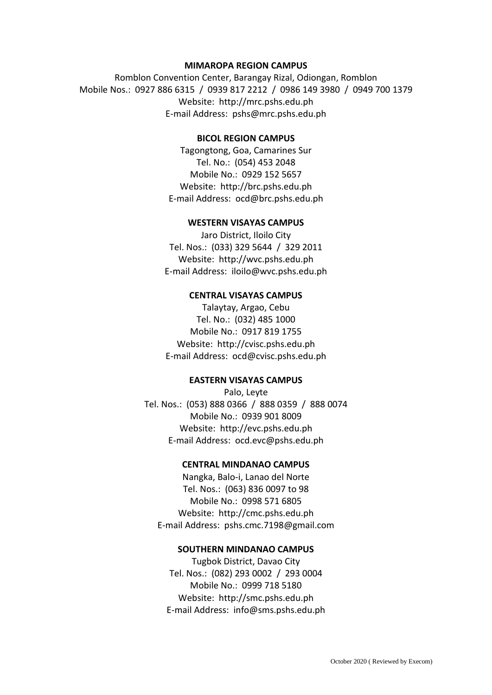### **MIMAROPA REGION CAMPUS**

Romblon Convention Center, Barangay Rizal, Odiongan, Romblon Mobile Nos.: 0927 886 6315 / 0939 817 2212 / 0986 149 3980 / 0949 700 1379 Website: [http://mrc.pshs.edu.ph](http://mrc.pshs.edu.ph/) E-mail Address: [pshs@mrc.pshs.edu.ph](mailto:pshs@mrc.pshs.edu.ph)

#### **BICOL REGION CAMPUS**

Tagongtong, Goa, Camarines Sur Tel. No.: (054) 453 2048 Mobile No.: 0929 152 5657 Website: [http://brc.pshs.edu.ph](http://brc.pshs.edu.ph/) E-mail Address: [ocd@brc.pshs.edu.ph](mailto:ocd@brc.pshs.edu.ph)

#### **WESTERN VISAYAS CAMPUS**

Jaro District, Iloilo City Tel. Nos.: (033) 329 5644 / 329 2011 Website: [http://wvc.pshs.edu.ph](http://wvc.pshs.edu.ph/) E-mail Address: [iloilo@wvc.pshs.edu.ph](mailto:iloilo@wvc.pshs.edu.ph)

#### **CENTRAL VISAYAS CAMPUS**

Talaytay, Argao, Cebu Tel. No.: (032) 485 1000 Mobile No.: 0917 819 1755 Website: [http://cvisc.pshs.edu.ph](http://cvisc.pshs.edu.ph/) E-mail Address: [ocd@cvisc.pshs.edu.ph](mailto:ocd@cvisc.pshs.edu.ph)

#### **EASTERN VISAYAS CAMPUS**

Palo, Leyte Tel. Nos.: (053) 888 0366 / 888 0359 / 888 0074 Mobile No.: 0939 901 8009 Website: [http://evc.pshs.edu.ph](http://evc.pshs.edu.ph/) E-mail Address: [ocd.evc@pshs.edu.ph](mailto:ocd.evc@pshs.edu.ph)

### **CENTRAL MINDANAO CAMPUS**

Nangka, Balo-i, Lanao del Norte Tel. Nos.: (063) 836 0097 to 98 Mobile No.: 0998 571 6805 Website: [http://cmc.pshs.edu.ph](http://cmc.pshs.edu.ph/) E-mail Address: [pshs.cmc.7198@gmail.com](mailto:pshs.cmc.7198@gmail.com)

#### **SOUTHERN MINDANAO CAMPUS**

Tugbok District, Davao City Tel. Nos.: (082) 293 0002 / 293 0004 Mobile No.: 0999 718 5180 Website: [http://smc.pshs.edu.ph](http://smc.pshs.edu.ph/) E-mail Address: [info@sms.pshs.edu.ph](mailto:info@sms.pshs.edu.ph)